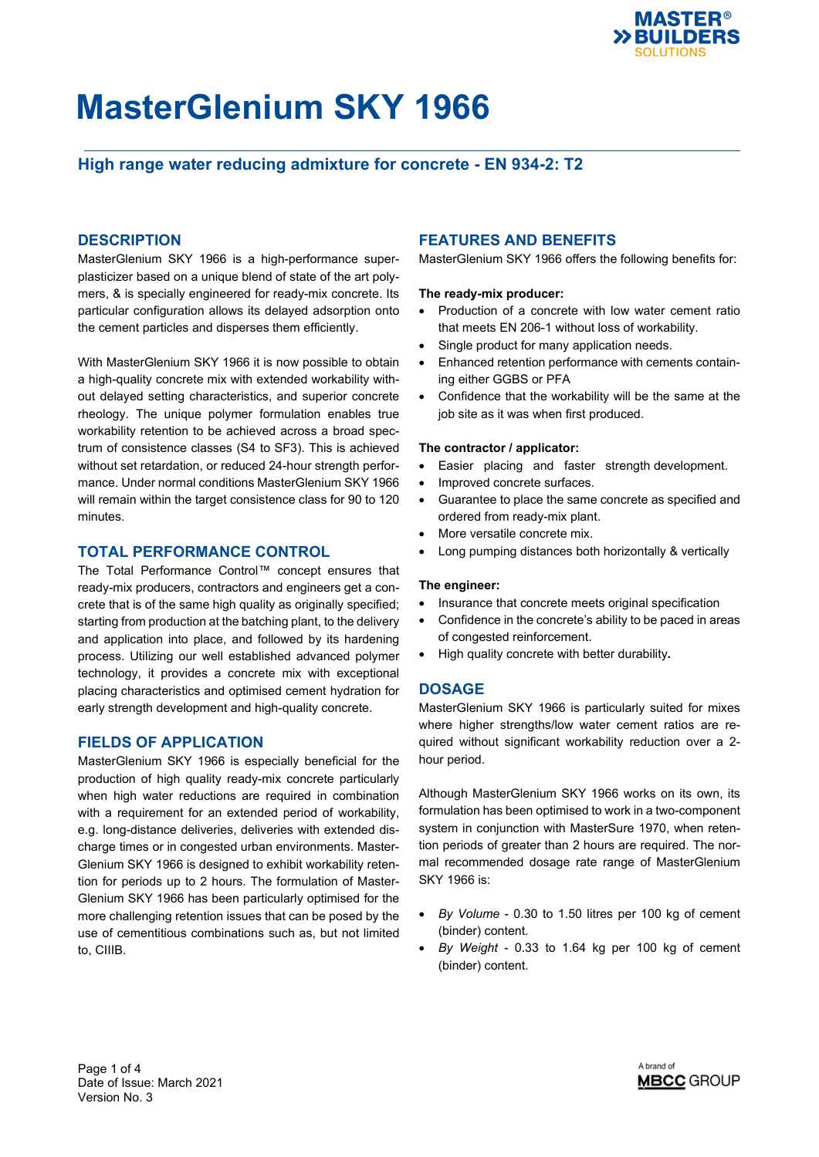

## **High range water reducing admixture for concrete - EN 934-2: T2**

### **DESCRIPTION**

MasterGlenium SKY 1966 is a high-performance superplasticizer based on a unique blend of state of the art polymers, & is specially engineered for ready-mix concrete. Its particular configuration allows its delayed adsorption onto the cement particles and disperses them efficiently.

With MasterGlenium SKY 1966 it is now possible to obtain a high-quality concrete mix with extended workability without delayed setting characteristics, and superior concrete rheology. The unique polymer formulation enables true workability retention to be achieved across a broad spectrum of consistence classes (S4 to SF3). This is achieved without set retardation, or reduced 24-hour strength performance. Under normal conditions MasterGlenium SKY 1966 will remain within the target consistence class for 90 to 120 minutes.

#### **TOTAL PERFORMANCE CONTROL**

The Total Performance Control™ concept ensures that ready-mix producers, contractors and engineers get a concrete that is of the same high quality as originally specified; starting from production at the batching plant, to the delivery and application into place, and followed by its hardening process. Utilizing our well established advanced polymer technology, it provides a concrete mix with exceptional placing characteristics and optimised cement hydration for early strength development and high-quality concrete.

#### **FIELDS OF APPLICATION**

MasterGlenium SKY 1966 is especially beneficial for the production of high quality ready-mix concrete particularly when high water reductions are required in combination with a requirement for an extended period of workability, e.g. long-distance deliveries, deliveries with extended discharge times or in congested urban environments. Master-Glenium SKY 1966 is designed to exhibit workability retention for periods up to 2 hours. The formulation of Master-Glenium SKY 1966 has been particularly optimised for the more challenging retention issues that can be posed by the use of cementitious combinations such as, but not limited to, CIIIB.

### **FEATURES AND BENEFITS**

MasterGlenium SKY 1966 offers the following benefits for:

#### **The ready-mix producer:**

- Production of a concrete with low water cement ratio that meets EN 206-1 without loss of workability.
- Single product for many application needs.
- Enhanced retention performance with cements containing either GGBS or PFA
- Confidence that the workability will be the same at the job site as it was when first produced.

#### **The contractor / applicator:**

- Easier placing and faster strength development.
- Improved concrete surfaces.
- Guarantee to place the same concrete as specified and ordered from ready-mix plant.
- More versatile concrete mix.
- Long pumping distances both horizontally & vertically

#### **The engineer:**

- Insurance that concrete meets original specification
- Confidence in the concrete's ability to be paced in areas of congested reinforcement.
- High quality concrete with better durability**.**

#### **DOSAGE**

MasterGlenium SKY 1966 is particularly suited for mixes where higher strengths/low water cement ratios are required without significant workability reduction over a 2 hour period.

Although MasterGlenium SKY 1966 works on its own, its formulation has been optimised to work in a two-component system in conjunction with MasterSure 1970, when retention periods of greater than 2 hours are required. The normal recommended dosage rate range of MasterGlenium SKY 1966 is:

- *By Volume* 0.30 to 1.50 litres per 100 kg of cement (binder) content.
- *By Weight* 0.33 to 1.64 kg per 100 kg of cement (binder) content.

Page 1 of 4 Date of Issue: March 2021 Version No. 3

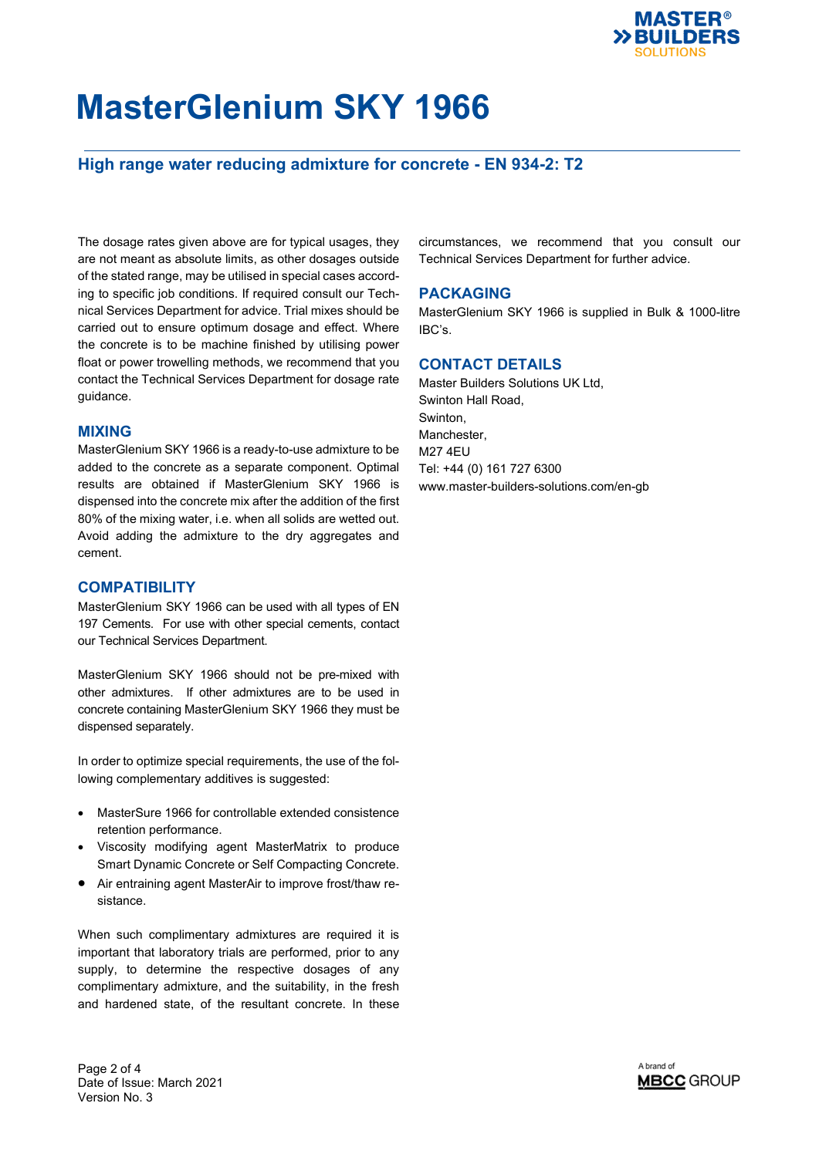

## **High range water reducing admixture for concrete - EN 934-2: T2**

The dosage rates given above are for typical usages, they are not meant as absolute limits, as other dosages outside of the stated range, may be utilised in special cases according to specific job conditions. If required consult our Technical Services Department for advice. Trial mixes should be carried out to ensure optimum dosage and effect. Where the concrete is to be machine finished by utilising power float or power trowelling methods, we recommend that you contact the Technical Services Department for dosage rate guidance.

#### **MIXING**

MasterGlenium SKY 1966 is a ready-to-use admixture to be added to the concrete as a separate component. Optimal results are obtained if MasterGlenium SKY 1966 is dispensed into the concrete mix after the addition of the first 80% of the mixing water, i.e. when all solids are wetted out. Avoid adding the admixture to the dry aggregates and cement.

#### **COMPATIBILITY**

MasterGlenium SKY 1966 can be used with all types of EN 197 Cements. For use with other special cements, contact our Technical Services Department.

MasterGlenium SKY 1966 should not be pre-mixed with other admixtures. If other admixtures are to be used in concrete containing MasterGlenium SKY 1966 they must be dispensed separately.

In order to optimize special requirements, the use of the following complementary additives is suggested:

- MasterSure 1966 for controllable extended consistence retention performance.
- Viscosity modifying agent MasterMatrix to produce Smart Dynamic Concrete or Self Compacting Concrete.
- Air entraining agent MasterAir to improve frost/thaw resistance.

When such complimentary admixtures are required it is important that laboratory trials are performed, prior to any supply, to determine the respective dosages of any complimentary admixture, and the suitability, in the fresh and hardened state, of the resultant concrete. In these circumstances, we recommend that you consult our Technical Services Department for further advice.

#### **PACKAGING**

MasterGlenium SKY 1966 is supplied in Bulk & 1000-litre IBC's.

### **CONTACT DETAILS**

Master Builders Solutions UK Ltd, Swinton Hall Road, Swinton, Manchester, M27 4EU Tel: +44 (0) 161 727 6300 www.master-builders-solutions.com/en-gb

Page 2 of 4 Date of Issue: March 2021 Version No. 3

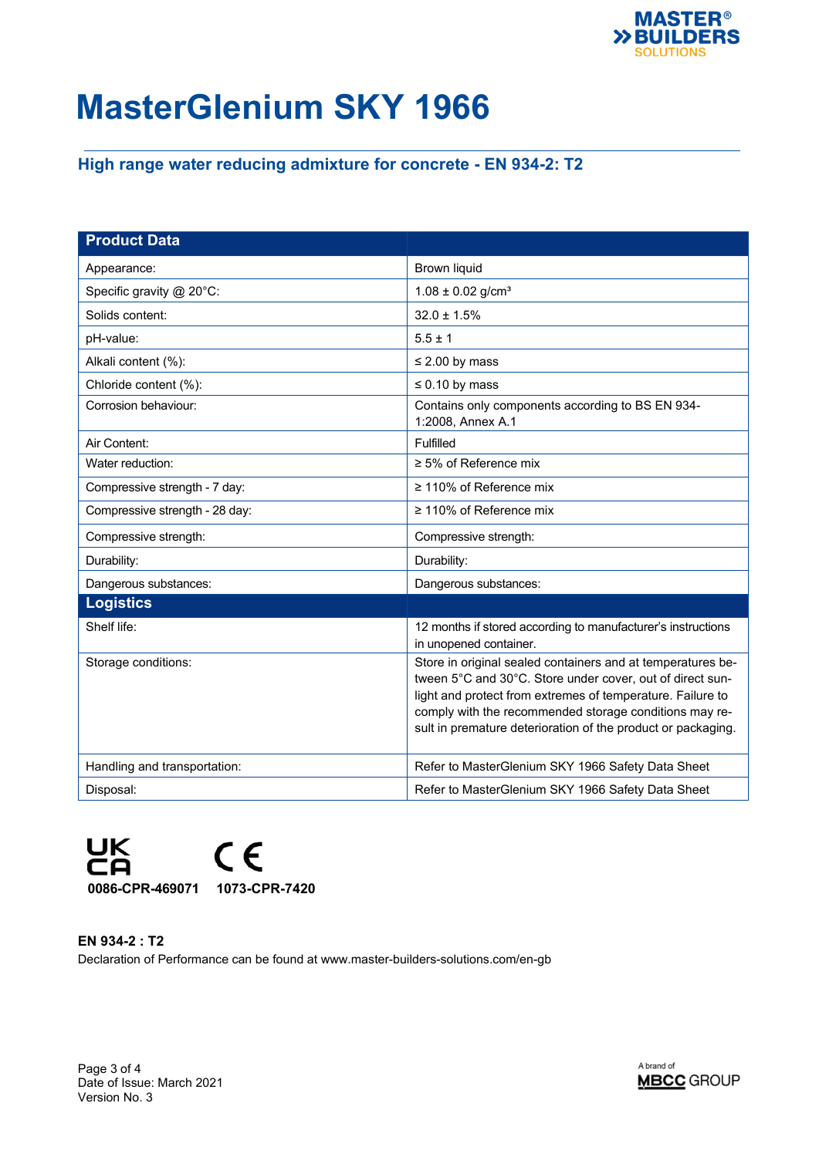

## **High range water reducing admixture for concrete - EN 934-2: T2**

| <b>Product Data</b>            |                                                                                                                                                                                                                                                                                                                  |
|--------------------------------|------------------------------------------------------------------------------------------------------------------------------------------------------------------------------------------------------------------------------------------------------------------------------------------------------------------|
| Appearance:                    | <b>Brown liquid</b>                                                                                                                                                                                                                                                                                              |
| Specific gravity @ 20°C:       | $1.08 \pm 0.02$ g/cm <sup>3</sup>                                                                                                                                                                                                                                                                                |
| Solids content:                | $32.0 \pm 1.5\%$                                                                                                                                                                                                                                                                                                 |
| pH-value:                      | $5.5 \pm 1$                                                                                                                                                                                                                                                                                                      |
| Alkali content (%):            | $\leq$ 2.00 by mass                                                                                                                                                                                                                                                                                              |
| Chloride content (%):          | $\leq 0.10$ by mass                                                                                                                                                                                                                                                                                              |
| Corrosion behaviour:           | Contains only components according to BS EN 934-<br>1:2008, Annex A.1                                                                                                                                                                                                                                            |
| Air Content:                   | Fulfilled                                                                                                                                                                                                                                                                                                        |
| Water reduction:               | $\geq$ 5% of Reference mix                                                                                                                                                                                                                                                                                       |
| Compressive strength - 7 day:  | ≥ 110% of Reference mix                                                                                                                                                                                                                                                                                          |
| Compressive strength - 28 day: | $\geq$ 110% of Reference mix                                                                                                                                                                                                                                                                                     |
| Compressive strength:          | Compressive strength:                                                                                                                                                                                                                                                                                            |
| Durability:                    | Durability:                                                                                                                                                                                                                                                                                                      |
| Dangerous substances:          | Dangerous substances:                                                                                                                                                                                                                                                                                            |
| <b>Logistics</b>               |                                                                                                                                                                                                                                                                                                                  |
| Shelf life:                    | 12 months if stored according to manufacturer's instructions<br>in unopened container.                                                                                                                                                                                                                           |
| Storage conditions:            | Store in original sealed containers and at temperatures be-<br>tween 5°C and 30°C. Store under cover, out of direct sun-<br>light and protect from extremes of temperature. Failure to<br>comply with the recommended storage conditions may re-<br>sult in premature deterioration of the product or packaging. |
| Handling and transportation:   | Refer to MasterGlenium SKY 1966 Safety Data Sheet                                                                                                                                                                                                                                                                |
| Disposal:                      | Refer to MasterGlenium SKY 1966 Safety Data Sheet                                                                                                                                                                                                                                                                |



**EN 934-2 : T2** Declaration of Performance can be found at www.master-builders-solutions.com/en-gb